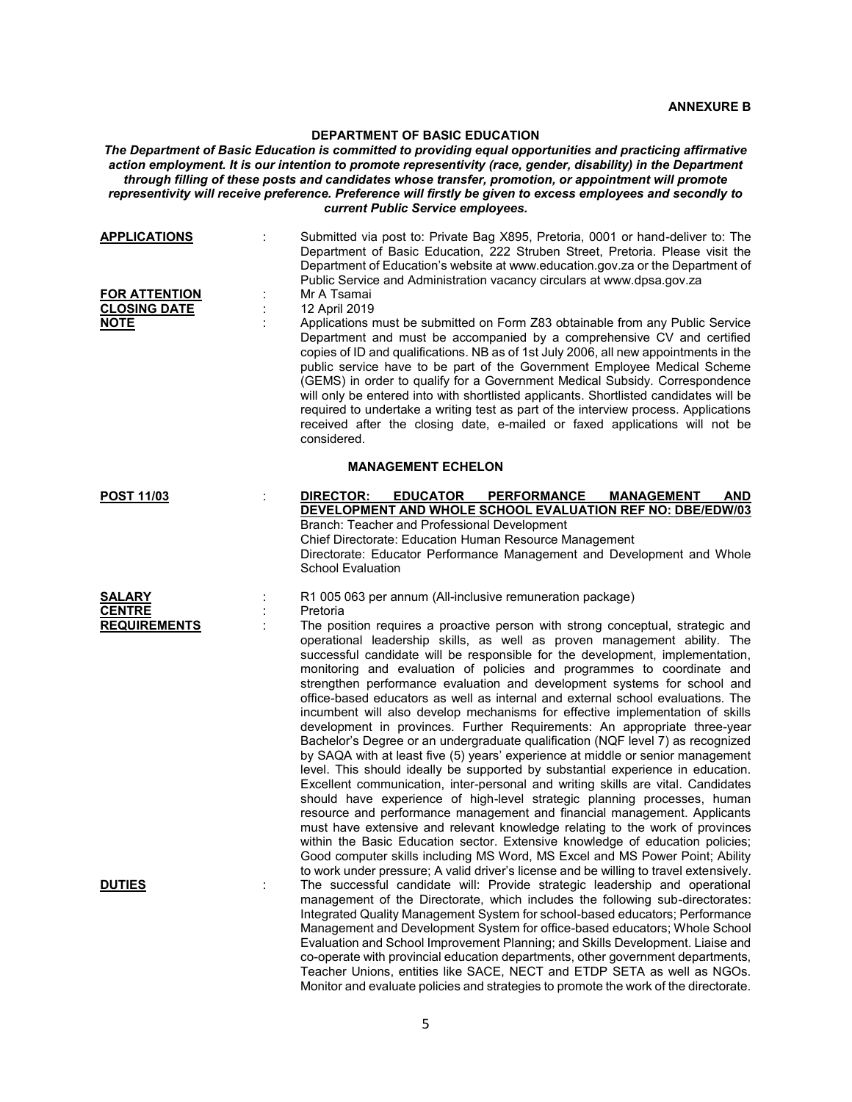## **DEPARTMENT OF BASIC EDUCATION**

*The Department of Basic Education is committed to providing equal opportunities and practicing affirmative action employment. It is our intention to promote representivity (race, gender, disability) in the Department through filling of these posts and candidates whose transfer, promotion, or appointment will promote representivity will receive preference. Preference will firstly be given to excess employees and secondly to current Public Service employees.*

| <b>APPLICATIONS</b>                                        | Submitted via post to: Private Bag X895, Pretoria, 0001 or hand-deliver to: The<br>Department of Basic Education, 222 Struben Street, Pretoria. Please visit the<br>Department of Education's website at www.education.gov.za or the Department of<br>Public Service and Administration vacancy circulars at www.dpsa.gov.za                                                                                                                                                                                                                                                                                                                                                                                                                                                                                                                                                                                                                                                                                                                                                                                                                                                                                                                                                                                                                                                                                                                                                      |
|------------------------------------------------------------|-----------------------------------------------------------------------------------------------------------------------------------------------------------------------------------------------------------------------------------------------------------------------------------------------------------------------------------------------------------------------------------------------------------------------------------------------------------------------------------------------------------------------------------------------------------------------------------------------------------------------------------------------------------------------------------------------------------------------------------------------------------------------------------------------------------------------------------------------------------------------------------------------------------------------------------------------------------------------------------------------------------------------------------------------------------------------------------------------------------------------------------------------------------------------------------------------------------------------------------------------------------------------------------------------------------------------------------------------------------------------------------------------------------------------------------------------------------------------------------|
| <b>FOR ATTENTION</b><br><b>CLOSING DATE</b><br><b>NOTE</b> | Mr A Tsamai<br>12 April 2019<br>Applications must be submitted on Form Z83 obtainable from any Public Service<br>Department and must be accompanied by a comprehensive CV and certified<br>copies of ID and qualifications. NB as of 1st July 2006, all new appointments in the<br>public service have to be part of the Government Employee Medical Scheme<br>(GEMS) in order to qualify for a Government Medical Subsidy. Correspondence<br>will only be entered into with shortlisted applicants. Shortlisted candidates will be<br>required to undertake a writing test as part of the interview process. Applications<br>received after the closing date, e-mailed or faxed applications will not be<br>considered.                                                                                                                                                                                                                                                                                                                                                                                                                                                                                                                                                                                                                                                                                                                                                          |
|                                                            | <b>MANAGEMENT ECHELON</b>                                                                                                                                                                                                                                                                                                                                                                                                                                                                                                                                                                                                                                                                                                                                                                                                                                                                                                                                                                                                                                                                                                                                                                                                                                                                                                                                                                                                                                                         |
| <b>POST 11/03</b>                                          | <b>DIRECTOR:</b><br><b>EDUCATOR</b><br><b>PERFORMANCE</b><br><b>MANAGEMENT</b><br>AND<br><b>DEVELOPMENT AND WHOLE SCHOOL EVALUATION REF NO: DBE/EDW/03</b><br>Branch: Teacher and Professional Development<br>Chief Directorate: Education Human Resource Management<br>Directorate: Educator Performance Management and Development and Whole<br><b>School Evaluation</b>                                                                                                                                                                                                                                                                                                                                                                                                                                                                                                                                                                                                                                                                                                                                                                                                                                                                                                                                                                                                                                                                                                        |
| <b>SALARY</b><br><b>CENTRE</b><br><b>REQUIREMENTS</b>      | R1 005 063 per annum (All-inclusive remuneration package)<br>Pretoria<br>The position requires a proactive person with strong conceptual, strategic and<br>operational leadership skills, as well as proven management ability. The<br>successful candidate will be responsible for the development, implementation,<br>monitoring and evaluation of policies and programmes to coordinate and<br>strengthen performance evaluation and development systems for school and<br>office-based educators as well as internal and external school evaluations. The<br>incumbent will also develop mechanisms for effective implementation of skills<br>development in provinces. Further Requirements: An appropriate three-year<br>Bachelor's Degree or an undergraduate qualification (NQF level 7) as recognized<br>by SAQA with at least five (5) years' experience at middle or senior management<br>level. This should ideally be supported by substantial experience in education.<br>Excellent communication, inter-personal and writing skills are vital. Candidates<br>should have experience of high-level strategic planning processes, human<br>resource and performance management and financial management. Applicants<br>must have extensive and relevant knowledge relating to the work of provinces<br>within the Basic Education sector. Extensive knowledge of education policies;<br>Good computer skills including MS Word, MS Excel and MS Power Point; Ability |
| <b>DUTIES</b>                                              | to work under pressure; A valid driver's license and be willing to travel extensively.<br>The successful candidate will: Provide strategic leadership and operational<br>management of the Directorate, which includes the following sub-directorates:<br>Integrated Quality Management System for school-based educators; Performance<br>Management and Development System for office-based educators; Whole School<br>Evaluation and School Improvement Planning; and Skills Development. Liaise and<br>co-operate with provincial education departments, other government departments,<br>Teacher Unions, entities like SACE, NECT and ETDP SETA as well as NGOs.<br>Monitor and evaluate policies and strategies to promote the work of the directorate.                                                                                                                                                                                                                                                                                                                                                                                                                                                                                                                                                                                                                                                                                                                      |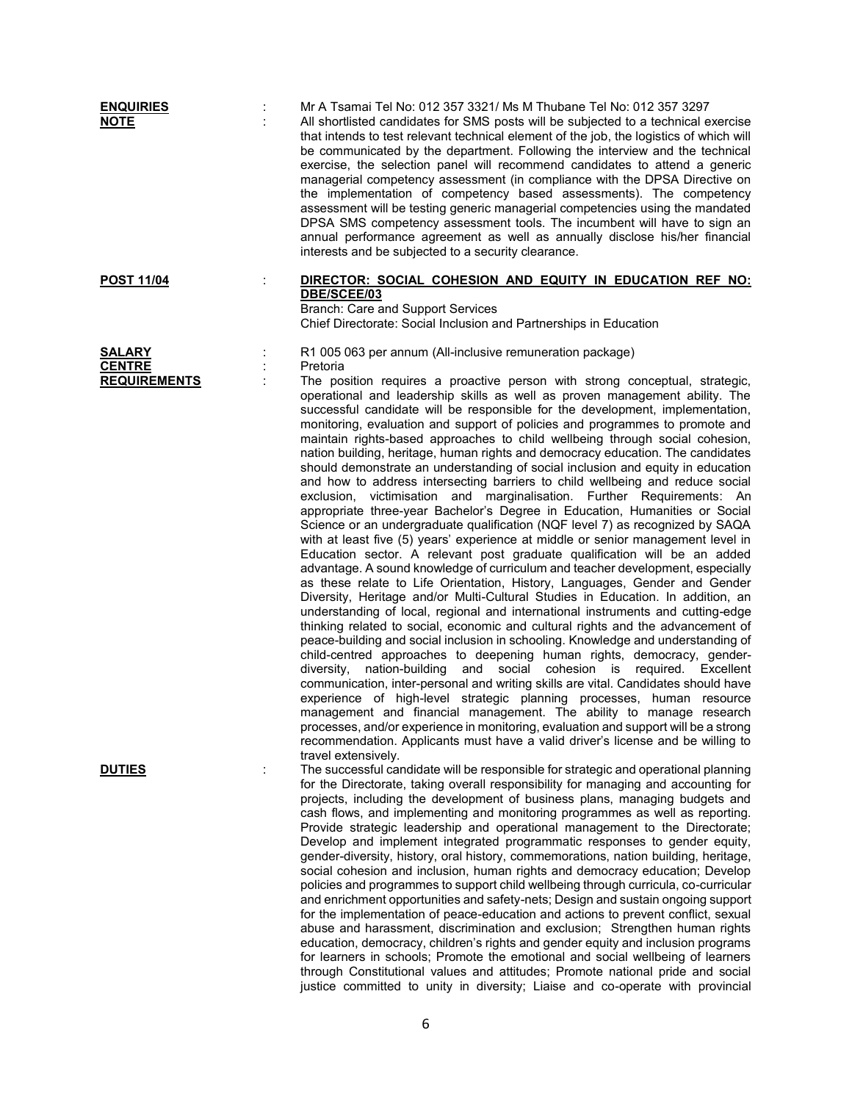| <b>ENQUIRIES</b><br><b>NOTE</b>                       |         | Mr A Tsamai Tel No: 012 357 3321/ Ms M Thubane Tel No: 012 357 3297<br>All shortlisted candidates for SMS posts will be subjected to a technical exercise<br>that intends to test relevant technical element of the job, the logistics of which will<br>be communicated by the department. Following the interview and the technical<br>exercise, the selection panel will recommend candidates to attend a generic<br>managerial competency assessment (in compliance with the DPSA Directive on<br>the implementation of competency based assessments). The competency<br>assessment will be testing generic managerial competencies using the mandated<br>DPSA SMS competency assessment tools. The incumbent will have to sign an<br>annual performance agreement as well as annually disclose his/her financial<br>interests and be subjected to a security clearance.                                                                                                                                                                                                                                                                                                                                                                                                                                                                                                                                                                                                                                                                                                                                                                                                                                                                                                                                                                                                                                                                                                                                                                                                                                                                                                                                                                                         |
|-------------------------------------------------------|---------|---------------------------------------------------------------------------------------------------------------------------------------------------------------------------------------------------------------------------------------------------------------------------------------------------------------------------------------------------------------------------------------------------------------------------------------------------------------------------------------------------------------------------------------------------------------------------------------------------------------------------------------------------------------------------------------------------------------------------------------------------------------------------------------------------------------------------------------------------------------------------------------------------------------------------------------------------------------------------------------------------------------------------------------------------------------------------------------------------------------------------------------------------------------------------------------------------------------------------------------------------------------------------------------------------------------------------------------------------------------------------------------------------------------------------------------------------------------------------------------------------------------------------------------------------------------------------------------------------------------------------------------------------------------------------------------------------------------------------------------------------------------------------------------------------------------------------------------------------------------------------------------------------------------------------------------------------------------------------------------------------------------------------------------------------------------------------------------------------------------------------------------------------------------------------------------------------------------------------------------------------------------------|
| <b>POST 11/04</b>                                     |         | DIRECTOR: SOCIAL COHESION AND EQUITY IN EDUCATION REF NO:<br>DBE/SCEE/03<br>Branch: Care and Support Services<br>Chief Directorate: Social Inclusion and Partnerships in Education                                                                                                                                                                                                                                                                                                                                                                                                                                                                                                                                                                                                                                                                                                                                                                                                                                                                                                                                                                                                                                                                                                                                                                                                                                                                                                                                                                                                                                                                                                                                                                                                                                                                                                                                                                                                                                                                                                                                                                                                                                                                                  |
| <b>SALARY</b><br><b>CENTRE</b><br><b>REQUIREMENTS</b> | $\cdot$ | R1 005 063 per annum (All-inclusive remuneration package)<br>Pretoria<br>The position requires a proactive person with strong conceptual, strategic,<br>operational and leadership skills as well as proven management ability. The<br>successful candidate will be responsible for the development, implementation,<br>monitoring, evaluation and support of policies and programmes to promote and<br>maintain rights-based approaches to child wellbeing through social cohesion,<br>nation building, heritage, human rights and democracy education. The candidates<br>should demonstrate an understanding of social inclusion and equity in education<br>and how to address intersecting barriers to child wellbeing and reduce social<br>exclusion, victimisation and marginalisation. Further Requirements: An<br>appropriate three-year Bachelor's Degree in Education, Humanities or Social<br>Science or an undergraduate qualification (NQF level 7) as recognized by SAQA<br>with at least five (5) years' experience at middle or senior management level in<br>Education sector. A relevant post graduate qualification will be an added<br>advantage. A sound knowledge of curriculum and teacher development, especially<br>as these relate to Life Orientation, History, Languages, Gender and Gender<br>Diversity, Heritage and/or Multi-Cultural Studies in Education. In addition, an<br>understanding of local, regional and international instruments and cutting-edge<br>thinking related to social, economic and cultural rights and the advancement of<br>peace-building and social inclusion in schooling. Knowledge and understanding of<br>child-centred approaches to deepening human rights, democracy, gender-<br>diversity,<br>nation-building<br>and social cohesion is required. Excellent<br>communication, inter-personal and writing skills are vital. Candidates should have<br>experience of high-level strategic planning processes, human resource<br>management and financial management. The ability to manage research<br>processes, and/or experience in monitoring, evaluation and support will be a strong<br>recommendation. Applicants must have a valid driver's license and be willing to<br>travel extensively. |
| <b>DUTIES</b>                                         | t       | The successful candidate will be responsible for strategic and operational planning<br>for the Directorate, taking overall responsibility for managing and accounting for<br>projects, including the development of business plans, managing budgets and<br>cash flows, and implementing and monitoring programmes as well as reporting.<br>Provide strategic leadership and operational management to the Directorate;<br>Develop and implement integrated programmatic responses to gender equity,<br>gender-diversity, history, oral history, commemorations, nation building, heritage,<br>social cohesion and inclusion, human rights and democracy education; Develop<br>policies and programmes to support child wellbeing through curricula, co-curricular<br>and enrichment opportunities and safety-nets; Design and sustain ongoing support<br>for the implementation of peace-education and actions to prevent conflict, sexual<br>abuse and harassment, discrimination and exclusion; Strengthen human rights<br>education, democracy, children's rights and gender equity and inclusion programs<br>for learners in schools; Promote the emotional and social wellbeing of learners<br>through Constitutional values and attitudes; Promote national pride and social<br>justice committed to unity in diversity; Liaise and co-operate with provincial                                                                                                                                                                                                                                                                                                                                                                                                                                                                                                                                                                                                                                                                                                                                                                                                                                                                                               |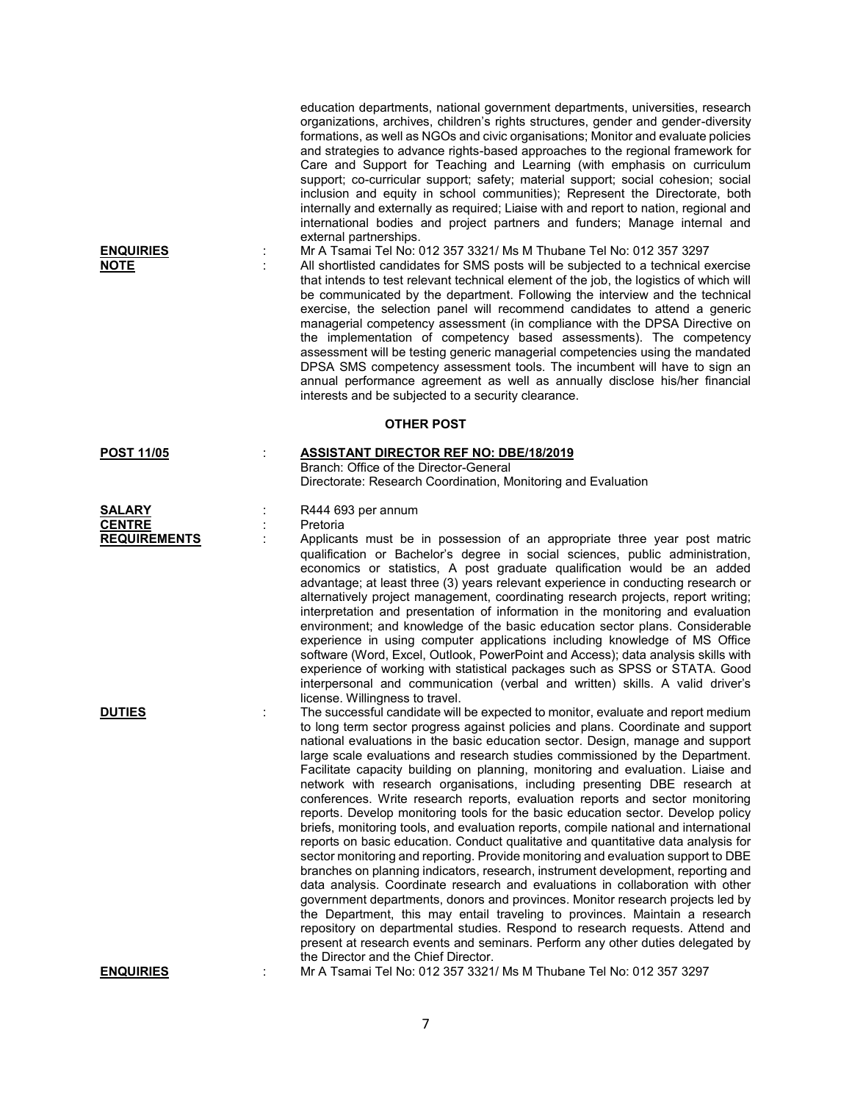| <b>ENQUIRIES</b><br><u>NOTE</u> | ÷ | education departments, national government departments, universities, research<br>organizations, archives, children's rights structures, gender and gender-diversity<br>formations, as well as NGOs and civic organisations; Monitor and evaluate policies<br>and strategies to advance rights-based approaches to the regional framework for<br>Care and Support for Teaching and Learning (with emphasis on curriculum<br>support; co-curricular support; safety; material support; social cohesion; social<br>inclusion and equity in school communities); Represent the Directorate, both<br>internally and externally as required; Liaise with and report to nation, regional and<br>international bodies and project partners and funders; Manage internal and<br>external partnerships.<br>Mr A Tsamai Tel No: 012 357 3321/ Ms M Thubane Tel No: 012 357 3297<br>All shortlisted candidates for SMS posts will be subjected to a technical exercise<br>that intends to test relevant technical element of the job, the logistics of which will<br>be communicated by the department. Following the interview and the technical<br>exercise, the selection panel will recommend candidates to attend a generic<br>managerial competency assessment (in compliance with the DPSA Directive on<br>the implementation of competency based assessments). The competency<br>assessment will be testing generic managerial competencies using the mandated<br>DPSA SMS competency assessment tools. The incumbent will have to sign an<br>annual performance agreement as well as annually disclose his/her financial<br>interests and be subjected to a security clearance. |  |  |  |
|---------------------------------|---|-------------------------------------------------------------------------------------------------------------------------------------------------------------------------------------------------------------------------------------------------------------------------------------------------------------------------------------------------------------------------------------------------------------------------------------------------------------------------------------------------------------------------------------------------------------------------------------------------------------------------------------------------------------------------------------------------------------------------------------------------------------------------------------------------------------------------------------------------------------------------------------------------------------------------------------------------------------------------------------------------------------------------------------------------------------------------------------------------------------------------------------------------------------------------------------------------------------------------------------------------------------------------------------------------------------------------------------------------------------------------------------------------------------------------------------------------------------------------------------------------------------------------------------------------------------------------------------------------------------------------------------------------------------------------------|--|--|--|
| <b>OTHER POST</b>               |   |                                                                                                                                                                                                                                                                                                                                                                                                                                                                                                                                                                                                                                                                                                                                                                                                                                                                                                                                                                                                                                                                                                                                                                                                                                                                                                                                                                                                                                                                                                                                                                                                                                                                               |  |  |  |
| <b>POST 11/05</b>               | ÷ | <b>ASSISTANT DIRECTOR REF NO: DBE/18/2019</b><br>Branch: Office of the Director-General<br>Directorate: Research Coordination, Monitoring and Evaluation                                                                                                                                                                                                                                                                                                                                                                                                                                                                                                                                                                                                                                                                                                                                                                                                                                                                                                                                                                                                                                                                                                                                                                                                                                                                                                                                                                                                                                                                                                                      |  |  |  |
| <b>SALARY</b><br><b>CENTRE</b>  |   | R444 693 per annum<br>Pretoria                                                                                                                                                                                                                                                                                                                                                                                                                                                                                                                                                                                                                                                                                                                                                                                                                                                                                                                                                                                                                                                                                                                                                                                                                                                                                                                                                                                                                                                                                                                                                                                                                                                |  |  |  |
| <b>REQUIREMENTS</b>             |   | Applicants must be in possession of an appropriate three year post matric<br>qualification or Bachelor's degree in social sciences, public administration,<br>economics or statistics, A post graduate qualification would be an added<br>advantage; at least three (3) years relevant experience in conducting research or<br>alternatively project management, coordinating research projects, report writing;<br>interpretation and presentation of information in the monitoring and evaluation<br>environment; and knowledge of the basic education sector plans. Considerable<br>experience in using computer applications including knowledge of MS Office<br>software (Word, Excel, Outlook, PowerPoint and Access); data analysis skills with<br>experience of working with statistical packages such as SPSS or STATA. Good<br>interpersonal and communication (verbal and written) skills. A valid driver's<br>license. Willingness to travel.                                                                                                                                                                                                                                                                                                                                                                                                                                                                                                                                                                                                                                                                                                                     |  |  |  |
| <b>DUTIES</b>                   |   | The successful candidate will be expected to monitor, evaluate and report medium<br>to long term sector progress against policies and plans. Coordinate and support<br>national evaluations in the basic education sector. Design, manage and support<br>large scale evaluations and research studies commissioned by the Department.<br>Facilitate capacity building on planning, monitoring and evaluation. Liaise and<br>network with research organisations, including presenting DBE research at<br>conferences. Write research reports, evaluation reports and sector monitoring<br>reports. Develop monitoring tools for the basic education sector. Develop policy<br>briefs, monitoring tools, and evaluation reports, compile national and international<br>reports on basic education. Conduct qualitative and quantitative data analysis for<br>sector monitoring and reporting. Provide monitoring and evaluation support to DBE<br>branches on planning indicators, research, instrument development, reporting and<br>data analysis. Coordinate research and evaluations in collaboration with other<br>government departments, donors and provinces. Monitor research projects led by<br>the Department, this may entail traveling to provinces. Maintain a research<br>repository on departmental studies. Respond to research requests. Attend and<br>present at research events and seminars. Perform any other duties delegated by<br>the Director and the Chief Director.                                                                                                                                                                                |  |  |  |

**ENQUIRIES** : Mr A Tsamai Tel No: 012 357 3321/ Ms M Thubane Tel No: 012 357 3297